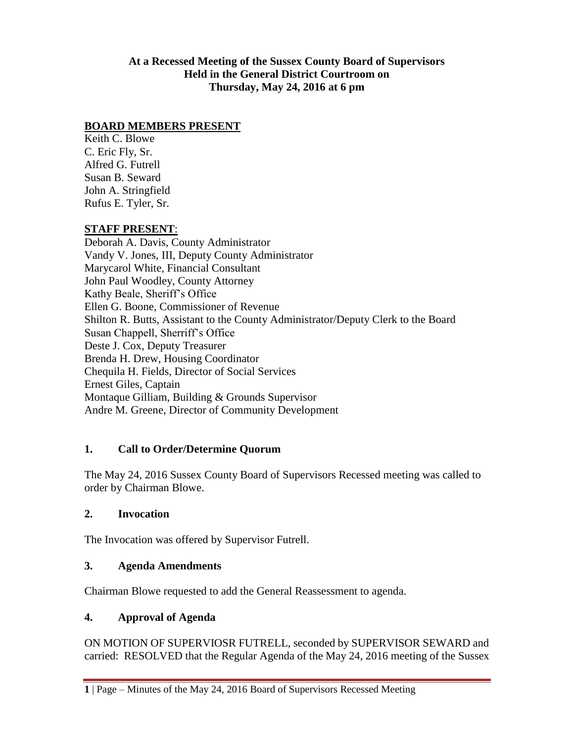**At a Recessed Meeting of the Sussex County Board of Supervisors Held in the General District Courtroom on Thursday, May 24, 2016 at 6 pm**

#### **BOARD MEMBERS PRESENT**

Keith C. Blowe C. Eric Fly, Sr. Alfred G. Futrell Susan B. Seward John A. Stringfield Rufus E. Tyler, Sr.

#### **STAFF PRESENT**:

Deborah A. Davis, County Administrator Vandy V. Jones, III, Deputy County Administrator Marycarol White, Financial Consultant John Paul Woodley, County Attorney Kathy Beale, Sheriff's Office Ellen G. Boone, Commissioner of Revenue Shilton R. Butts, Assistant to the County Administrator/Deputy Clerk to the Board Susan Chappell, Sherriff's Office Deste J. Cox, Deputy Treasurer Brenda H. Drew, Housing Coordinator Chequila H. Fields, Director of Social Services Ernest Giles, Captain Montaque Gilliam, Building & Grounds Supervisor Andre M. Greene, Director of Community Development

# **1. Call to Order/Determine Quorum**

The May 24, 2016 Sussex County Board of Supervisors Recessed meeting was called to order by Chairman Blowe.

#### **2. Invocation**

The Invocation was offered by Supervisor Futrell.

#### **3. Agenda Amendments**

Chairman Blowe requested to add the General Reassessment to agenda.

# **4. Approval of Agenda**

ON MOTION OF SUPERVIOSR FUTRELL, seconded by SUPERVISOR SEWARD and carried: RESOLVED that the Regular Agenda of the May 24, 2016 meeting of the Sussex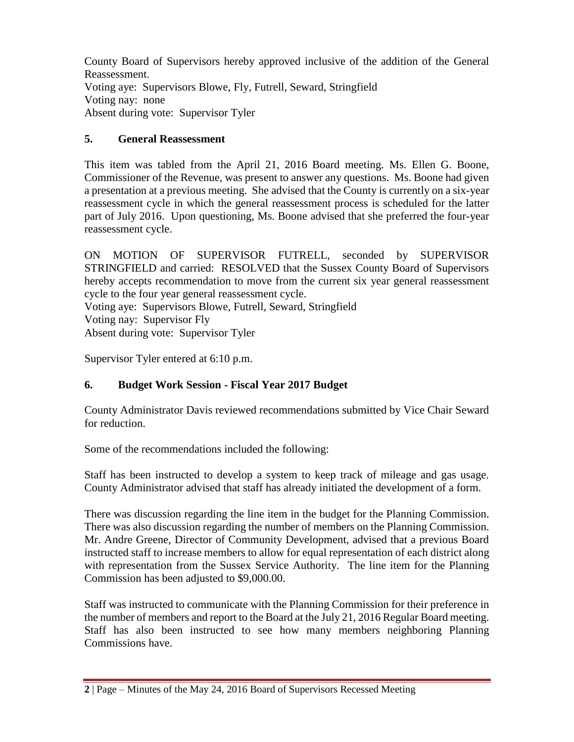County Board of Supervisors hereby approved inclusive of the addition of the General Reassessment. Voting aye: Supervisors Blowe, Fly, Futrell, Seward, Stringfield Voting nay: none Absent during vote: Supervisor Tyler

# **5. General Reassessment**

This item was tabled from the April 21, 2016 Board meeting. Ms. Ellen G. Boone, Commissioner of the Revenue, was present to answer any questions. Ms. Boone had given a presentation at a previous meeting. She advised that the County is currently on a six-year reassessment cycle in which the general reassessment process is scheduled for the latter part of July 2016. Upon questioning, Ms. Boone advised that she preferred the four-year reassessment cycle.

ON MOTION OF SUPERVISOR FUTRELL, seconded by SUPERVISOR STRINGFIELD and carried: RESOLVED that the Sussex County Board of Supervisors hereby accepts recommendation to move from the current six year general reassessment cycle to the four year general reassessment cycle.

Voting aye: Supervisors Blowe, Futrell, Seward, Stringfield Voting nay: Supervisor Fly Absent during vote: Supervisor Tyler

Supervisor Tyler entered at 6:10 p.m.

# **6. Budget Work Session - Fiscal Year 2017 Budget**

County Administrator Davis reviewed recommendations submitted by Vice Chair Seward for reduction.

Some of the recommendations included the following:

Staff has been instructed to develop a system to keep track of mileage and gas usage. County Administrator advised that staff has already initiated the development of a form.

There was discussion regarding the line item in the budget for the Planning Commission. There was also discussion regarding the number of members on the Planning Commission. Mr. Andre Greene, Director of Community Development, advised that a previous Board instructed staff to increase members to allow for equal representation of each district along with representation from the Sussex Service Authority. The line item for the Planning Commission has been adjusted to \$9,000.00.

Staff was instructed to communicate with the Planning Commission for their preference in the number of members and report to the Board at the July 21, 2016 Regular Board meeting. Staff has also been instructed to see how many members neighboring Planning Commissions have.

**<sup>2</sup>** | Page – Minutes of the May 24, 2016 Board of Supervisors Recessed Meeting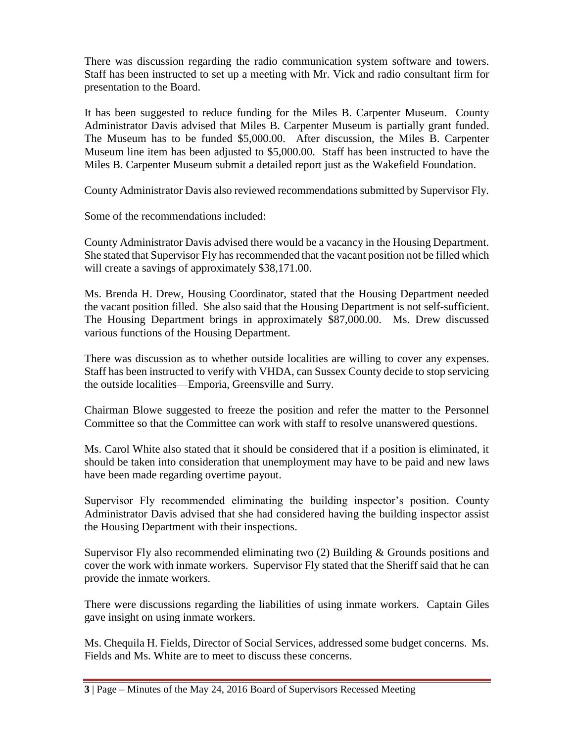There was discussion regarding the radio communication system software and towers. Staff has been instructed to set up a meeting with Mr. Vick and radio consultant firm for presentation to the Board.

It has been suggested to reduce funding for the Miles B. Carpenter Museum. County Administrator Davis advised that Miles B. Carpenter Museum is partially grant funded. The Museum has to be funded \$5,000.00. After discussion, the Miles B. Carpenter Museum line item has been adjusted to \$5,000.00. Staff has been instructed to have the Miles B. Carpenter Museum submit a detailed report just as the Wakefield Foundation.

County Administrator Davis also reviewed recommendations submitted by Supervisor Fly.

Some of the recommendations included:

County Administrator Davis advised there would be a vacancy in the Housing Department. She stated that Supervisor Fly has recommended that the vacant position not be filled which will create a savings of approximately \$38,171.00.

Ms. Brenda H. Drew, Housing Coordinator, stated that the Housing Department needed the vacant position filled. She also said that the Housing Department is not self-sufficient. The Housing Department brings in approximately \$87,000.00. Ms. Drew discussed various functions of the Housing Department.

There was discussion as to whether outside localities are willing to cover any expenses. Staff has been instructed to verify with VHDA, can Sussex County decide to stop servicing the outside localities—Emporia, Greensville and Surry.

Chairman Blowe suggested to freeze the position and refer the matter to the Personnel Committee so that the Committee can work with staff to resolve unanswered questions.

Ms. Carol White also stated that it should be considered that if a position is eliminated, it should be taken into consideration that unemployment may have to be paid and new laws have been made regarding overtime payout.

Supervisor Fly recommended eliminating the building inspector's position. County Administrator Davis advised that she had considered having the building inspector assist the Housing Department with their inspections.

Supervisor Fly also recommended eliminating two (2) Building & Grounds positions and cover the work with inmate workers. Supervisor Fly stated that the Sheriff said that he can provide the inmate workers.

There were discussions regarding the liabilities of using inmate workers. Captain Giles gave insight on using inmate workers.

Ms. Chequila H. Fields, Director of Social Services, addressed some budget concerns. Ms. Fields and Ms. White are to meet to discuss these concerns.

**<sup>3</sup>** | Page – Minutes of the May 24, 2016 Board of Supervisors Recessed Meeting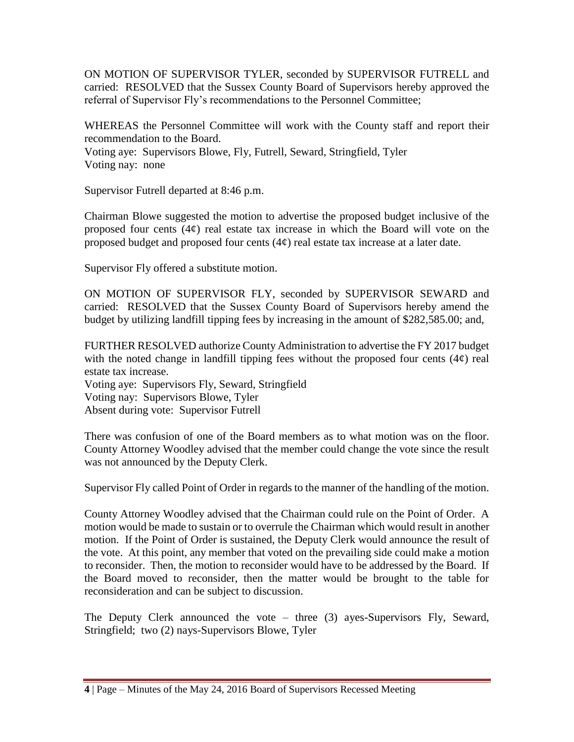ON MOTION OF SUPERVISOR TYLER, seconded by SUPERVISOR FUTRELL and carried: RESOLVED that the Sussex County Board of Supervisors hereby approved the referral of Supervisor Fly's recommendations to the Personnel Committee;

WHEREAS the Personnel Committee will work with the County staff and report their recommendation to the Board.

Voting aye: Supervisors Blowe, Fly, Futrell, Seward, Stringfield, Tyler Voting nay: none

Supervisor Futrell departed at 8:46 p.m.

Chairman Blowe suggested the motion to advertise the proposed budget inclusive of the proposed four cents  $(4¢)$  real estate tax increase in which the Board will vote on the proposed budget and proposed four cents  $(4¢)$  real estate tax increase at a later date.

Supervisor Fly offered a substitute motion.

ON MOTION OF SUPERVISOR FLY, seconded by SUPERVISOR SEWARD and carried: RESOLVED that the Sussex County Board of Supervisors hereby amend the budget by utilizing landfill tipping fees by increasing in the amount of \$282,585.00; and,

FURTHER RESOLVED authorize County Administration to advertise the FY 2017 budget with the noted change in landfill tipping fees without the proposed four cents  $(4¢)$  real estate tax increase.

Voting aye: Supervisors Fly, Seward, Stringfield Voting nay: Supervisors Blowe, Tyler Absent during vote: Supervisor Futrell

There was confusion of one of the Board members as to what motion was on the floor. County Attorney Woodley advised that the member could change the vote since the result was not announced by the Deputy Clerk.

Supervisor Fly called Point of Order in regards to the manner of the handling of the motion.

County Attorney Woodley advised that the Chairman could rule on the Point of Order. A motion would be made to sustain or to overrule the Chairman which would result in another motion. If the Point of Order is sustained, the Deputy Clerk would announce the result of the vote. At this point, any member that voted on the prevailing side could make a motion to reconsider. Then, the motion to reconsider would have to be addressed by the Board. If the Board moved to reconsider, then the matter would be brought to the table for reconsideration and can be subject to discussion.

The Deputy Clerk announced the vote – three (3) ayes-Supervisors Fly, Seward, Stringfield; two (2) nays-Supervisors Blowe, Tyler

**<sup>4</sup>** | Page – Minutes of the May 24, 2016 Board of Supervisors Recessed Meeting